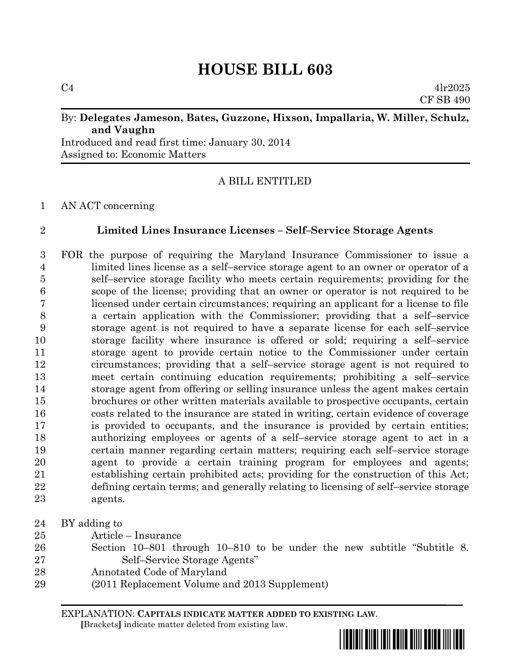$C4$  4lr2025 CF SB 490

#### By: **Delegates Jameson, Bates, Guzzone, Hixson, Impallaria, W. Miller, Schulz, and Vaughn**

Introduced and read first time: January 30, 2014 Assigned to: Economic Matters

## A BILL ENTITLED

#### AN ACT concerning

## **Limited Lines Insurance Licenses – Self–Service Storage Agents**

 FOR the purpose of requiring the Maryland Insurance Commissioner to issue a limited lines license as a self–service storage agent to an owner or operator of a self–service storage facility who meets certain requirements; providing for the scope of the license; providing that an owner or operator is not required to be licensed under certain circumstances; requiring an applicant for a license to file a certain application with the Commissioner; providing that a self–service storage agent is not required to have a separate license for each self–service storage facility where insurance is offered or sold; requiring a self–service storage agent to provide certain notice to the Commissioner under certain circumstances; providing that a self–service storage agent is not required to meet certain continuing education requirements; prohibiting a self–service storage agent from offering or selling insurance unless the agent makes certain brochures or other written materials available to prospective occupants, certain costs related to the insurance are stated in writing, certain evidence of coverage is provided to occupants, and the insurance is provided by certain entities; authorizing employees or agents of a self–service storage agent to act in a certain manner regarding certain matters; requiring each self–service storage agent to provide a certain training program for employees and agents; establishing certain prohibited acts; providing for the construction of this Act; defining certain terms; and generally relating to licensing of self–service storage agents.

- BY adding to
- Article Insurance
- Section 10–801 through 10–810 to be under the new subtitle "Subtitle 8. Self–Service Storage Agents"
- Annotated Code of Maryland
- (2011 Replacement Volume and 2013 Supplement)

EXPLANATION: **CAPITALS INDICATE MATTER ADDED TO EXISTING LAW**.  **[**Brackets**]** indicate matter deleted from existing law.

\*hb0603\*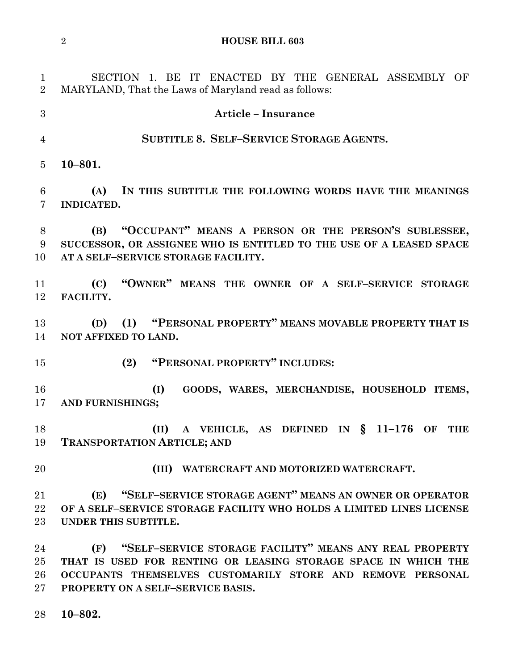SECTION 1. BE IT ENACTED BY THE GENERAL ASSEMBLY OF MARYLAND, That the Laws of Maryland read as follows: **Article – Insurance SUBTITLE 8. SELF–SERVICE STORAGE AGENTS. 10–801. (A) IN THIS SUBTITLE THE FOLLOWING WORDS HAVE THE MEANINGS INDICATED. (B) "OCCUPANT" MEANS A PERSON OR THE PERSON'S SUBLESSEE, SUCCESSOR, OR ASSIGNEE WHO IS ENTITLED TO THE USE OF A LEASED SPACE AT A SELF–SERVICE STORAGE FACILITY. (C) "OWNER" MEANS THE OWNER OF A SELF–SERVICE STORAGE FACILITY. (D) (1) "PERSONAL PROPERTY" MEANS MOVABLE PROPERTY THAT IS NOT AFFIXED TO LAND. (2) "PERSONAL PROPERTY" INCLUDES: (I) GOODS, WARES, MERCHANDISE, HOUSEHOLD ITEMS, AND FURNISHINGS; (II) A VEHICLE, AS DEFINED IN § 11–176 OF THE TRANSPORTATION ARTICLE; AND (III) WATERCRAFT AND MOTORIZED WATERCRAFT. (E) "SELF–SERVICE STORAGE AGENT" MEANS AN OWNER OR OPERATOR OF A SELF–SERVICE STORAGE FACILITY WHO HOLDS A LIMITED LINES LICENSE UNDER THIS SUBTITLE. (F) "SELF–SERVICE STORAGE FACILITY" MEANS ANY REAL PROPERTY THAT IS USED FOR RENTING OR LEASING STORAGE SPACE IN WHICH THE OCCUPANTS THEMSELVES CUSTOMARILY STORE AND REMOVE PERSONAL PROPERTY ON A SELF–SERVICE BASIS.**

**10–802.**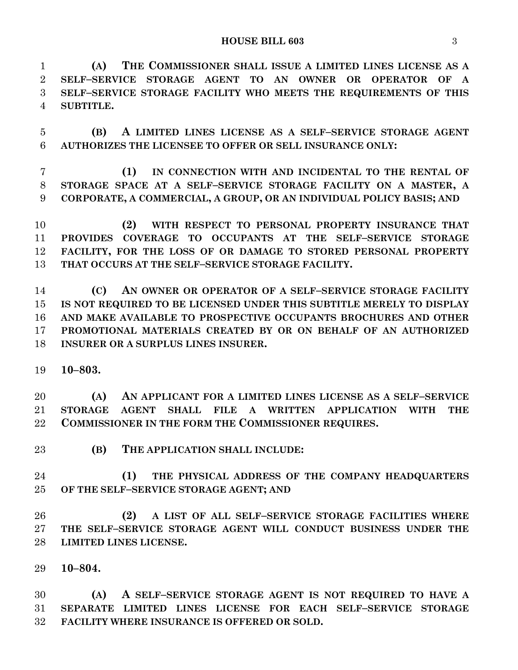**HOUSE BILL 603** 3

 **(A) THE COMMISSIONER SHALL ISSUE A LIMITED LINES LICENSE AS A SELF–SERVICE STORAGE AGENT TO AN OWNER OR OPERATOR OF A SELF–SERVICE STORAGE FACILITY WHO MEETS THE REQUIREMENTS OF THIS SUBTITLE.**

 **(B) A LIMITED LINES LICENSE AS A SELF–SERVICE STORAGE AGENT AUTHORIZES THE LICENSEE TO OFFER OR SELL INSURANCE ONLY:**

 **(1) IN CONNECTION WITH AND INCIDENTAL TO THE RENTAL OF STORAGE SPACE AT A SELF–SERVICE STORAGE FACILITY ON A MASTER, A CORPORATE, A COMMERCIAL, A GROUP, OR AN INDIVIDUAL POLICY BASIS; AND**

 **(2) WITH RESPECT TO PERSONAL PROPERTY INSURANCE THAT PROVIDES COVERAGE TO OCCUPANTS AT THE SELF–SERVICE STORAGE FACILITY, FOR THE LOSS OF OR DAMAGE TO STORED PERSONAL PROPERTY THAT OCCURS AT THE SELF–SERVICE STORAGE FACILITY.**

 **(C) AN OWNER OR OPERATOR OF A SELF–SERVICE STORAGE FACILITY IS NOT REQUIRED TO BE LICENSED UNDER THIS SUBTITLE MERELY TO DISPLAY AND MAKE AVAILABLE TO PROSPECTIVE OCCUPANTS BROCHURES AND OTHER PROMOTIONAL MATERIALS CREATED BY OR ON BEHALF OF AN AUTHORIZED INSURER OR A SURPLUS LINES INSURER.** 

**10–803.**

 **(A) AN APPLICANT FOR A LIMITED LINES LICENSE AS A SELF–SERVICE STORAGE AGENT SHALL FILE A WRITTEN APPLICATION WITH THE COMMISSIONER IN THE FORM THE COMMISSIONER REQUIRES.**

**(B) THE APPLICATION SHALL INCLUDE:**

 **(1) THE PHYSICAL ADDRESS OF THE COMPANY HEADQUARTERS OF THE SELF–SERVICE STORAGE AGENT; AND** 

 **(2) A LIST OF ALL SELF–SERVICE STORAGE FACILITIES WHERE THE SELF–SERVICE STORAGE AGENT WILL CONDUCT BUSINESS UNDER THE LIMITED LINES LICENSE.** 

**10–804.**

 **(A) A SELF–SERVICE STORAGE AGENT IS NOT REQUIRED TO HAVE A SEPARATE LIMITED LINES LICENSE FOR EACH SELF–SERVICE STORAGE FACILITY WHERE INSURANCE IS OFFERED OR SOLD.**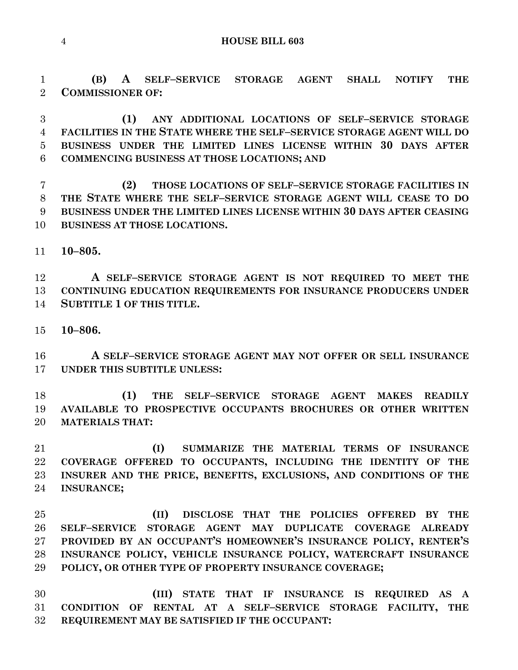**(B) A SELF–SERVICE STORAGE AGENT SHALL NOTIFY THE COMMISSIONER OF:**

 **(1) ANY ADDITIONAL LOCATIONS OF SELF–SERVICE STORAGE FACILITIES IN THE STATE WHERE THE SELF–SERVICE STORAGE AGENT WILL DO BUSINESS UNDER THE LIMITED LINES LICENSE WITHIN 30 DAYS AFTER COMMENCING BUSINESS AT THOSE LOCATIONS; AND**

 **(2) THOSE LOCATIONS OF SELF–SERVICE STORAGE FACILITIES IN THE STATE WHERE THE SELF–SERVICE STORAGE AGENT WILL CEASE TO DO BUSINESS UNDER THE LIMITED LINES LICENSE WITHIN 30 DAYS AFTER CEASING BUSINESS AT THOSE LOCATIONS.**

**10–805.**

 **A SELF–SERVICE STORAGE AGENT IS NOT REQUIRED TO MEET THE CONTINUING EDUCATION REQUIREMENTS FOR INSURANCE PRODUCERS UNDER SUBTITLE 1 OF THIS TITLE.** 

**10–806.**

 **A SELF–SERVICE STORAGE AGENT MAY NOT OFFER OR SELL INSURANCE UNDER THIS SUBTITLE UNLESS:**

 **(1) THE SELF–SERVICE STORAGE AGENT MAKES READILY AVAILABLE TO PROSPECTIVE OCCUPANTS BROCHURES OR OTHER WRITTEN MATERIALS THAT:**

 **(I) SUMMARIZE THE MATERIAL TERMS OF INSURANCE COVERAGE OFFERED TO OCCUPANTS, INCLUDING THE IDENTITY OF THE INSURER AND THE PRICE, BENEFITS, EXCLUSIONS, AND CONDITIONS OF THE INSURANCE;**

 **(II) DISCLOSE THAT THE POLICIES OFFERED BY THE SELF–SERVICE STORAGE AGENT MAY DUPLICATE COVERAGE ALREADY PROVIDED BY AN OCCUPANT'S HOMEOWNER'S INSURANCE POLICY, RENTER'S INSURANCE POLICY, VEHICLE INSURANCE POLICY, WATERCRAFT INSURANCE POLICY, OR OTHER TYPE OF PROPERTY INSURANCE COVERAGE;**

 **(III) STATE THAT IF INSURANCE IS REQUIRED AS A CONDITION OF RENTAL AT A SELF–SERVICE STORAGE FACILITY, THE REQUIREMENT MAY BE SATISFIED IF THE OCCUPANT:**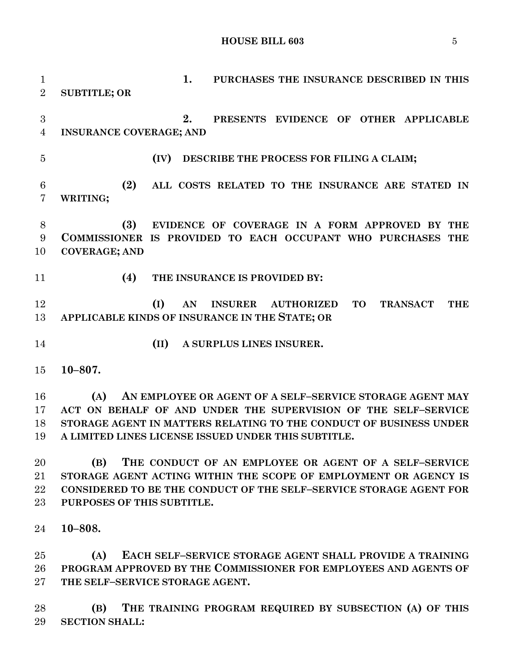**HOUSE BILL 603** 5

 **1. PURCHASES THE INSURANCE DESCRIBED IN THIS SUBTITLE; OR 2. PRESENTS EVIDENCE OF OTHER APPLICABLE INSURANCE COVERAGE; AND (IV) DESCRIBE THE PROCESS FOR FILING A CLAIM; (2) ALL COSTS RELATED TO THE INSURANCE ARE STATED IN WRITING; (3) EVIDENCE OF COVERAGE IN A FORM APPROVED BY THE COMMISSIONER IS PROVIDED TO EACH OCCUPANT WHO PURCHASES THE COVERAGE; AND (4) THE INSURANCE IS PROVIDED BY: (I) AN INSURER AUTHORIZED TO TRANSACT THE APPLICABLE KINDS OF INSURANCE IN THE STATE; OR (II) A SURPLUS LINES INSURER. 10–807. (A) AN EMPLOYEE OR AGENT OF A SELF–SERVICE STORAGE AGENT MAY ACT ON BEHALF OF AND UNDER THE SUPERVISION OF THE SELF–SERVICE STORAGE AGENT IN MATTERS RELATING TO THE CONDUCT OF BUSINESS UNDER A LIMITED LINES LICENSE ISSUED UNDER THIS SUBTITLE. (B) THE CONDUCT OF AN EMPLOYEE OR AGENT OF A SELF–SERVICE STORAGE AGENT ACTING WITHIN THE SCOPE OF EMPLOYMENT OR AGENCY IS CONSIDERED TO BE THE CONDUCT OF THE SELF–SERVICE STORAGE AGENT FOR PURPOSES OF THIS SUBTITLE. 10–808. (A) EACH SELF–SERVICE STORAGE AGENT SHALL PROVIDE A TRAINING PROGRAM APPROVED BY THE COMMISSIONER FOR EMPLOYEES AND AGENTS OF THE SELF–SERVICE STORAGE AGENT.**

 **(B) THE TRAINING PROGRAM REQUIRED BY SUBSECTION (A) OF THIS SECTION SHALL:**